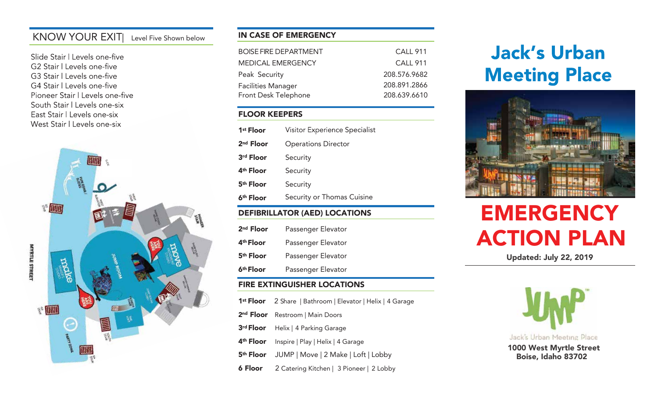# KNOW YOUR EXIT| Level Five Shown below

Slide Stair | Levels one-five G2 Stair | Levels one-five G3 Stair | Levels one-five G4 Stair | Levels one-five Pioneer Stair | Levels one-five South Stair | Levels one-six East Stair | Levels one-six West Stair | Levels one-six



### IN CASE OF EMERGENCY

| BOISE FIRE DEPARTMENT    | <b>CALL 911</b> |
|--------------------------|-----------------|
| <b>MEDICAL EMERGENCY</b> | <b>CALL 911</b> |
| Peak Security            | 208.576.9682    |
| Facilities Manager       | 208.891.2866    |
| Front Desk Telephone     | 208.639.6610    |

### FLOOR KEEPERS

| 1 <sup>st</sup> Floor | Visitor Experience Specialist |
|-----------------------|-------------------------------|
| $2nd$ Floor           | <b>Operations Director</b>    |
| 3rd Floor             | Security                      |
| 4 <sup>th</sup> Floor | Security                      |
| 5 <sup>th</sup> Floor | Security                      |
| 6 <sup>th</sup> Floor | Security or Thomas Cuisine    |
|                       |                               |

#### DEFIBRILLATOR (AED) LOCATIONS

| 2 <sup>nd</sup> Floor | Passenger Elevator |
|-----------------------|--------------------|
| 4 <sup>th</sup> Floor | Passenger Elevator |
| 5 <sup>th</sup> Floor | Passenger Elevator |
| 6 <sup>th</sup> Floor | Passenger Elevator |

### FIRE EXTINGUISHER LOCATIONS

- 1<sup>st</sup> Floor 2 Share | Bathroom | Elevator | Helix | 4 Garage 2<sup>nd</sup> Floor Restroom | Main Doors
- 
- 3<sup>rd</sup> Floor Helix | 4 Parking Garage
- 4<sup>th</sup> Floor Inspire | Play | Helix | 4 Garage
- 5th Floor JUMP | Move | 2 Make | Loft | Lobby
- **6 Floor** 2 Catering Kitchen | 3 Pioneer | 2 Lobby

# **Jack's Urban Meeting Place**



# **EMERGENCY** ACTION PLAN

Updated: July 22, 2019

Jack's Urban Meeting Place 1000 West Myrtle Street Boise, Idaho 83702